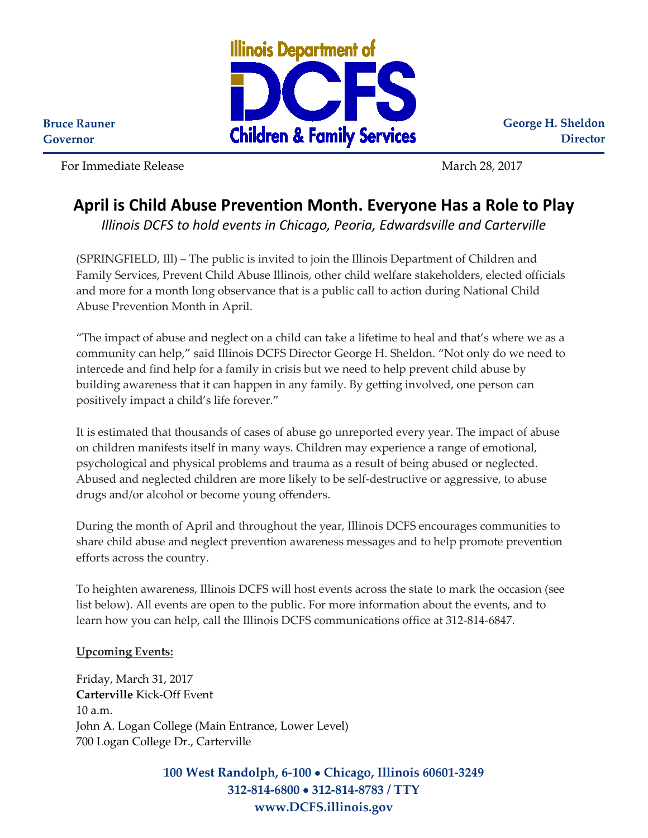

**George H. Sheldon Director**

**Bruce Rauner Governor**

For Immediate Release National Section 28, 2017

## **April is Child Abuse Prevention Month. Everyone Has a Role to Play**

*Illinois DCFS to hold events in Chicago, Peoria, Edwardsville and Carterville* 

(SPRINGFIELD, Ill) – The public is invited to join the Illinois Department of Children and Family Services, Prevent Child Abuse Illinois, other child welfare stakeholders, elected officials and more for a month long observance that is a public call to action during National Child Abuse Prevention Month in April.

"The impact of abuse and neglect on a child can take a lifetime to heal and that's where we as a community can help," said Illinois DCFS Director George H. Sheldon. "Not only do we need to intercede and find help for a family in crisis but we need to help prevent child abuse by building awareness that it can happen in any family. By getting involved, one person can positively impact a child's life forever."

It is estimated that thousands of cases of abuse go unreported every year. The impact of abuse on children manifests itself in many ways. Children may experience a range of emotional, psychological and physical problems and trauma as a result of being abused or neglected. Abused and neglected children are more likely to be self-destructive or aggressive, to abuse drugs and/or alcohol or become young offenders.

During the month of April and throughout the year, Illinois DCFS encourages communities to share child abuse and neglect prevention awareness messages and to help promote prevention efforts across the country.

To heighten awareness, Illinois DCFS will host events across the state to mark the occasion (see list below). All events are open to the public. For more information about the events, and to learn how you can help, call the Illinois DCFS communications office at 312-814-6847.

## **Upcoming Events:**

Friday, March 31, 2017 **Carterville** Kick-Off Event 10 a.m. John A. Logan College (Main Entrance, Lower Level) 700 Logan College Dr., Carterville

> **100 West Randolph, 6-100** • **Chicago, Illinois 60601-3249 312-814-6800** • **312-814-8783 / TTY www.DCFS.illinois.gov**